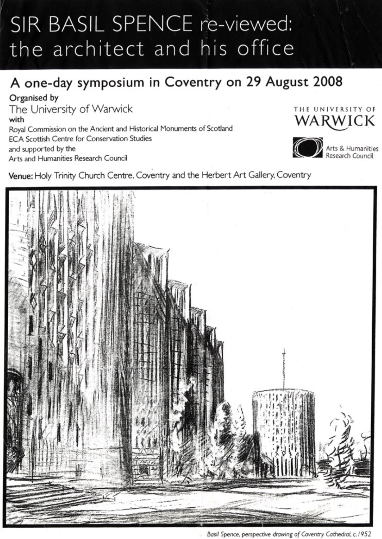# SIR BASIL SPENCE re-viewed: the architect and his office

## **A one-day symposium in Coventry on 29 August 2008**

**Organised by** 

The University of Warwick **with Royal Commission on the Ancient and Historical Monuments** of **Scotland ECA Scottish Centre for Conservation Studies and supported by the Arts and Humanities Research Council** 





**A Arts & Humanities Research Council** 

**Venue: Holy Trinity Church Centre, Coventry and the Herbert Art Gallery, Coventry** 



**Basil Spence, perspective** droving of Coventry Cothedrai, c.1952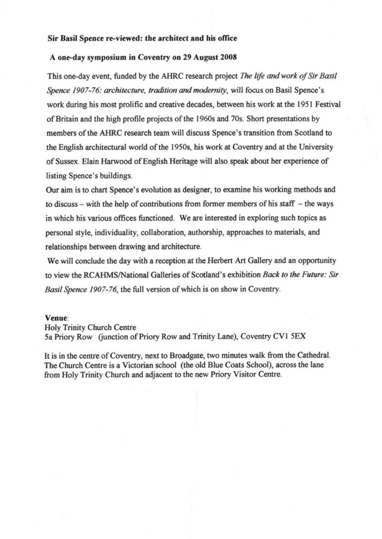#### **Sir Basil Spence re-viewed: the architect and his** *office*

#### **A one-day symposium in Coventry on 29 August 2008**

This one-day event, funded by the AHRC research project *The life and work of Sir Basil Spence 1907-76: architecture, tradition and modernity, will focus on Basil Spence's* **work during his most prolific and creative decades, between** *his* **work at the 1951 Festival of Britain and the high profile projects of the 1960s and 70s. Short presentations by members of the AHRC research team will discuss Spence's transition from Scotland to the English architectural world of the 1950s, his work at Coventry and at the University of Sussex. Elain Harwood of English Heritage will** *also* **speak about her experience of listing Spence's buildings.** 

**Our aim is to chart Spence's evolution as designer, to examine his working methods and**  to discuss – with the help of contributions from former members of his staff – the ways **in which his various offices functioned. We are interested in exploring such topics as personal style, individuality, collaboration, authorship, approaches to materials, and relationships between drawing and architecture.** 

We will conclude the day with a reception at the Herbert Art Gallery and an opportunity to view the RCAHMS/National Galleries of Scotland's exhibition *Back to the Future: Sir Basil Spence 1907-76,* **the full version of which is on show in Coventry.** 

#### **Venue:**

**Holy Trinity Church Centre** 

**5a Priory Row (junction of Priory Row and Trinity Lane), Coventry CV1 5EX** 

**It is in the centre of Coventry, next to Broadgate, two minutes walk from the Cathedral**. **The** *Church* **Centre is a Victorian school (the old Blue Coats School), across the lane from Holy Trinity Church and adjacent to the new Priory Visitor Centre.**